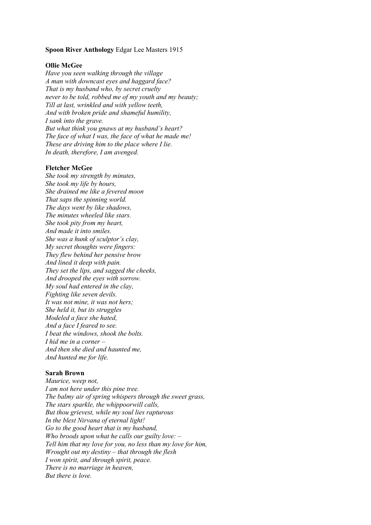#### **Spoon River Anthology** Edgar Lee Masters 1915

## **Ollie McGee**

*Have you seen walking through the village A man with downcast eyes and haggard face? That is my husband who, by secret cruelty never to be told, robbed me of my youth and my beauty; Till at last, wrinkled and with yellow teeth, And with broken pride and shameful humility, I sank into the grave. But what think you gnaws at my husband's heart? The face of what I was, the face of what he made me! These are driving him to the place where I lie. In death, therefore, I am avenged.*

#### **Fletcher McGee**

*She took my strength by minutes, She took my life by hours, She drained me like a fevered moon That saps the spinning world. The days went by like shadows, The minutes wheeled like stars. She took pity from my heart, And made it into smiles. She was a hunk of sculptor's clay, My secret thoughts were fingers: They flew behind her pensive brow And lined it deep with pain. They set the lips, and sagged the cheeks, And drooped the eyes with sorrow. My soul had entered in the clay, Fighting like seven devils. It was not mine, it was not hers; She held it, but its struggles Modeled a face she hated, And a face I feared to see. I beat the windows, shook the bolts. I hid me in a corner – And then she died and haunted me, And hunted me for life.*

#### **Sarah Brown**

*Maurice, weep not, I am not here under this pine tree. The balmy air of spring whispers through the sweet grass, The stars sparkle, the whippoorwill calls, But thou grievest, while my soul lies rapturous In the blest Nirvana of eternal light! Go to the good heart that is my husband, Who broods upon what he calls our guilty love: – Tell him that my love for you, no less than my love for him, Wrought out my destiny – that through the flesh I won spirit, and through spirit, peace. There is no marriage in heaven, But there is love.*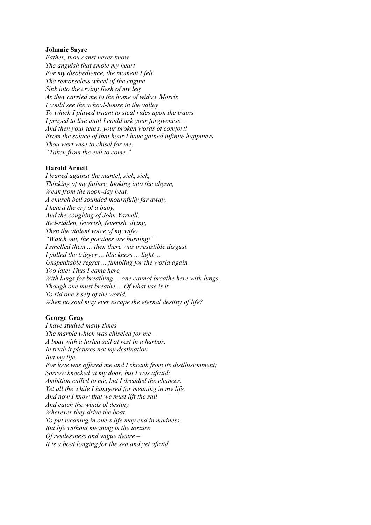### **Johnnie Sayre**

*Father, thou canst never know The anguish that smote my heart For my disobedience, the moment I felt The remorseless wheel of the engine Sink into the crying flesh of my leg. As they carried me to the home of widow Morris I could see the school-house in the valley To which I played truant to steal rides upon the trains. I prayed to live until I could ask your forgiveness – And then your tears, your broken words of comfort! From the solace of that hour I have gained infinite happiness. Thou wert wise to chisel for me: "Taken from the evil to come."*

## **Harold Arnett**

*I leaned against the mantel, sick, sick, Thinking of my failure, looking into the abysm, Weak from the noon-day heat. A church bell sounded mournfully far away, I heard the cry of a baby, And the coughing of John Yarnell, Bed-ridden, feverish, feverish, dying, Then the violent voice of my wife: "Watch out, the potatoes are burning!" I smelled them ... then there was irresistible disgust. I pulled the trigger ... blackness ... light ... Unspeakable regret ... fumbling for the world again. Too late! Thus I came here, With lungs for breathing ... one cannot breathe here with lungs, Though one must breathe.... Of what use is it To rid one's self of the world, When no soul may ever escape the eternal destiny of life?*

#### **George Gray**

*I have studied many times The marble which was chiseled for me – A boat with a furled sail at rest in a harbor. In truth it pictures not my destination But my life. For love was offered me and I shrank from its disillusionment; Sorrow knocked at my door, but I was afraid; Ambition called to me, but I dreaded the chances. Yet all the while I hungered for meaning in my life. And now I know that we must lift the sail And catch the winds of destiny Wherever they drive the boat. To put meaning in one's life may end in madness, But life without meaning is the torture Of restlessness and vague desire – It is a boat longing for the sea and yet afraid.*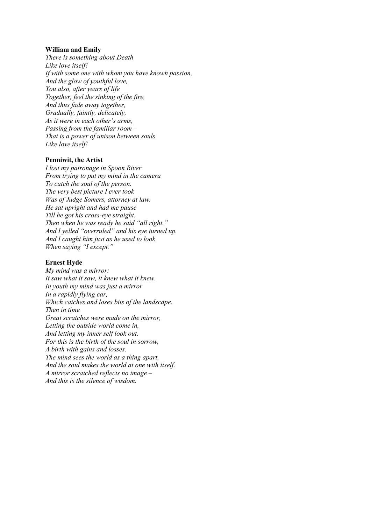## **William and Emily**

*There is something about Death Like love itself! If with some one with whom you have known passion, And the glow of youthful love, You also, after years of life Together, feel the sinking of the fire, And thus fade away together, Gradually, faintly, delicately, As it were in each other's arms, Passing from the familiar room – That is a power of unison between souls Like love itself!*

# **Penniwit, the Artist**

*I lost my patronage in Spoon River From trying to put my mind in the camera To catch the soul of the person. The very best picture I ever took Was of Judge Somers, attorney at law. He sat upright and had me pause Till he got his cross-eye straight. Then when he was ready he said "all right." And I yelled "overruled" and his eye turned up. And I caught him just as he used to look When saying "I except."*

### **Ernest Hyde**

*My mind was a mirror: It saw what it saw, it knew what it knew. In youth my mind was just a mirror In a rapidly flying car, Which catches and loses bits of the landscape. Then in time Great scratches were made on the mirror, Letting the outside world come in, And letting my inner self look out. For this is the birth of the soul in sorrow, A birth with gains and losses. The mind sees the world as a thing apart, And the soul makes the world at one with itself. A mirror scratched reflects no image – And this is the silence of wisdom.*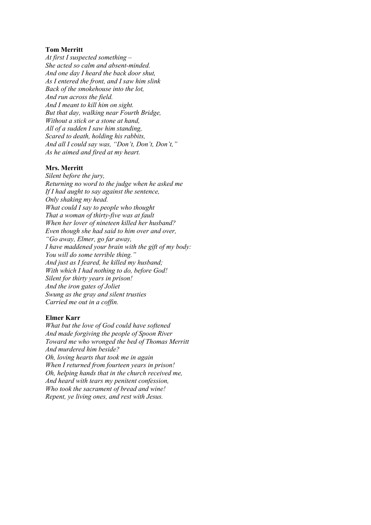## **Tom Merritt**

*At first I suspected something – She acted so calm and absent-minded. And one day I heard the back door shut, As I entered the front, and I saw him slink Back of the smokehouse into the lot, And run across the field. And I meant to kill him on sight. But that day, walking near Fourth Bridge, Without a stick or a stone at hand, All of a sudden I saw him standing, Scared to death, holding his rabbits, And all I could say was, "Don't, Don't, Don't," As he aimed and fired at my heart.*

#### **Mrs. Merritt**

*Silent before the jury, Returning no word to the judge when he asked me If I had aught to say against the sentence, Only shaking my head. What could I say to people who thought That a woman of thirty-five was at fault When her lover of nineteen killed her husband? Even though she had said to him over and over, "Go away, Elmer, go far away, I have maddened your brain with the gift of my body: You will do some terrible thing." And just as I feared, he killed my husband; With which I had nothing to do, before God! Silent for thirty years in prison! And the iron gates of Joliet Swung as the gray and silent trusties Carried me out in a coffin.*

# **Elmer Karr**

*What but the love of God could have softened And made forgiving the people of Spoon River Toward me who wronged the bed of Thomas Merritt And murdered him beside? Oh, loving hearts that took me in again When I returned from fourteen years in prison! Oh, helping hands that in the church received me, And heard with tears my penitent confession, Who took the sacrament of bread and wine! Repent, ye living ones, and rest with Jesus.*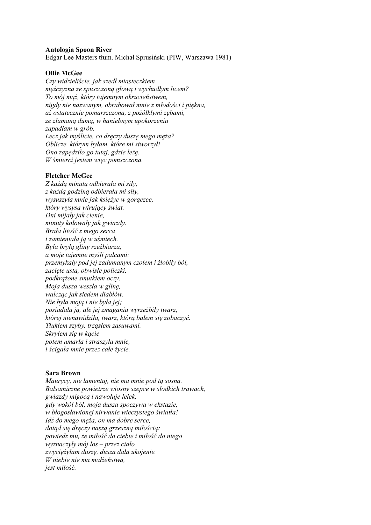## **Antologia Spoon River**

Edgar Lee Masters tłum. Michał Sprusiński (PIW, Warszawa 1981)

### **Ollie McGee**

*Czy widzieliście, jak szedł miasteczkiem mężczyzna ze spuszczoną głową i wychudłym licem? To mój mąż, który tajemnym okrucieństwem, nigdy nie nazwanym, obrabował mnie z młodości i piękna, aż ostatecznie pomarszczona, z pożółkłymi zębami, ze złamaną dumą, w haniebnym upokorzeniu zapadłam w grób. Lecz jak myślicie, co dręczy duszę mego męża? Oblicze, którym byłam, które mi stworzył! Ono zapędziło go tutaj, gdzie leżę. W śmierci jestem więc pomszczona.*

#### **Fletcher McGee**

*Z każdą minutą odbierała mi siły, z każdą godziną odbierała mi siły, wysuszyła mnie jak księżyc w gorączce, który wysysa wirujący świat. Dni mijały jak cienie, minuty kołowały jak gwiazdy. Brała litość z mego serca i zamieniała ją w uśmiech. Była bryłą gliny rzeźbiarza, a moje tajemne myśli palcami: przemykały pod jej zadumanym czołem i żłobiły ból, zacięte usta, obwisłe policzki, podkrążone smutkiem oczy. Moja dusza weszła w glinę, walcząc jak siedem diabłów. Nie była moją i nie była jej; posiadała ją, ale jej zmagania wyrzeźbiły twarz, której nienawidziła, twarz, którą bałem się zobaczyć. Tłukłem szyby, trząsłem zasuwami. Skryłem się w kącie – potem umarła i straszyła mnie, i ścigała mnie przez całe życie.*

#### **Sara Brown**

*Maurycy, nie lamentuj, nie ma mnie pod tą sosną. Balsamiczne powietrze wiosny szepce w słodkich trawach, gwiazdy migocą i nawołuje lelek, gdy wokół ból, moja dusza spoczywa w ekstazie, w błogosławionej nirwanie wieczystego światła! Idź do mego męża, on ma dobre serce, dotąd się dręczy naszą grzeszną miłością: powiedz mu, że miłość do ciebie i miłość do niego wyznaczyły mój los – przez ciało zwyciężyłam duszę, dusza dała ukojenie. W niebie nie ma małżeństwa, jest miłość.*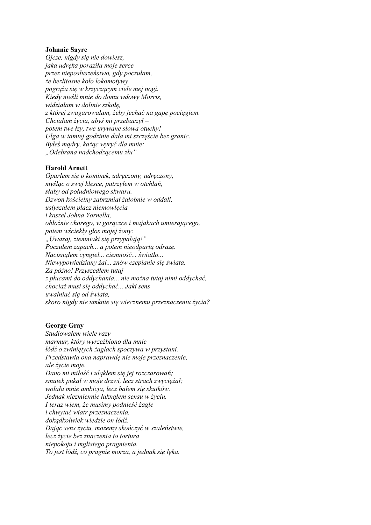### **Johnnie Sayre**

*Ojcze, nigdy się nie dowiesz, jaka udręka poraziła moje serce przez nieposłuszeństwo, gdy poczułam, że bezlitosne koło lokomotywy pogrąża się w krzyczącym ciele mej nogi. Kiedy nieśli mnie do domu wdowy Morris, widziałam w dolinie szkołę, z której zwagarowałam, żeby jechać na gapę pociągiem. Chciałam życia, abyś mi przebaczył – potem twe łzy, twe urywane słowa otuchy! Ulga w tamtej godzinie dała mi szczęście bez granic. Byłeś mądry, każąc wyryć dla mnie: "Odebrana nadchodzącemu złu".*

## **Harold Arnett**

*Oparłem się o kominek, udręczony, udręczony, myśląc o swej klęsce, patrzyłem w otchłań, słaby od południowego skwaru. Dzwon kościelny zabrzmiał żałobnie w oddali, usłyszałem płacz niemowlęcia i kaszel Johna Yornella, obłożnie chorego, w gorączce i majakach umierającego, potem wściekły głos mojej żony: "Uważaj, ziemniaki się przypalają!" Poczułem zapach... a potem nieodpartą odrazę. Nacisnąłem cyngiel... ciemność... światło... Niewypowiedziany żal... znów czepianie się świata. Za późno! Przyszedłem tutaj z płucami do oddychania... nie można tutaj nimi oddychać, chociaż musi się oddychać... Jaki sens uwalniać się od świata, skoro nigdy nie umknie się wiecznemu przeznaczeniu życia?*

# **George Gray**

*Studiowałem wiele razy marmur, który wyrzeźbiono dla mnie – łódź o zwiniętych żaglach spoczywa w przystani. Przedstawia ona naprawdę nie moje przeznaczenie, ale życie moje. Dano mi miłość i uląkłem się jej rozczarowań; smutek pukał w moje drzwi, lecz strach zwyciężał; wołała mnie ambicja, lecz bałem się skutków. Jednak niezmiennie łaknąłem sensu w życiu. I teraz wiem, że musimy podnieść żagle i chwytać wiatr przeznaczenia, dokądkolwiek wiedzie on łódź. Dając sens życiu, możemy skończyć w szaleństwie, lecz życie bez znaczenia to tortura niepokoju i mglistego pragnienia. To jest łódź, co pragnie morza, a jednak się lęka.*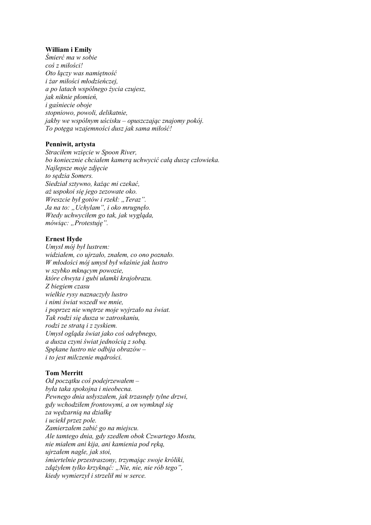# **William i Emily**

*Śmierć ma w sobie coś z miłości! Oto łączy was namiętność i żar miłości młodzieńczej, a po latach wspólnego życia czujesz, jak niknie płomień, i gaśniecie oboje stopniowo, powoli, delikatnie, jakby we wspólnym uścisku – opuszczając znajomy pokój. To potęga wzajemności dusz jak sama miłość!*

# **Penniwit, artysta**

*Straciłem wzięcie w Spoon River, bo koniecznie chciałem kamerą uchwycić całą duszę człowieka. Najlepsze moje zdjęcie to sędzia Somers. Siedział sztywno, każąc mi czekać, aż uspokoi się jego zezowate oko. Wreszcie był gotów i rzekł: "Teraz".* Ja na to: "Uchylam", i oko mrugnęło. *Wtedy uchwyciłem go tak, jak wygląda, mówiąc: "Protestuję".*

# **Ernest Hyde**

*Umysł mój był lustrem: widziałem, co ujrzało, znałem, co ono poznało. W młodości mój umysł był właśnie jak lustro w szybko mknącym powozie, które chwyta i gubi ułamki krajobrazu. Z biegiem czasu wielkie rysy naznaczyły lustro i nimi świat wszedł we mnie, i poprzez nie wnętrze moje wyjrzało na świat. Tak rodzi się dusza w zatroskaniu, rodzi ze stratą i z zyskiem. Umysł ogląda świat jako coś odrębnego, a dusza czyni świat jednością z sobą. Spękane lustro nie odbija obrazów – i to jest milczenie mądrości.*

# **Tom Merritt**

*Od początku coś podejrzewałem – była taka spokojna i nieobecna. Pewnego dnia usłyszałem, jak trzasnęły tylne drzwi, gdy wchodziłem frontowymi, a on wymknął się za wędzarnią na działkę i uciekł przez pole. Zamierzałem zabić go na miejscu. Ale tamtego dnia, gdy szedłem obok Czwartego Mostu, nie miałem ani kija, ani kamienia pod ręką, ujrzałem nagle, jak stoi, śmiertelnie przestraszony, trzymając swoje króliki, zdążyłem tylko krzyknąć: "Nie, nie, nie rób tego", kiedy wymierzył i strzelił mi w serce.*